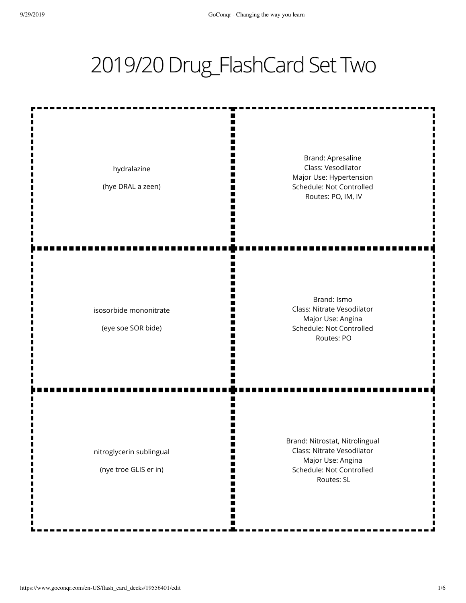## 2019/20 Drug\_FlashCard Set Two

ш m Ш I٢ Brand: Apresaline Class: Vesodilator hydralazine m Major Use: Hypertension W (hye DRAL a zeen) Schedule: Not Controlled m Ш Routes: PO, IM, IV Ш п m Brand: Ismo Class: Nitrate Vesodilator isosorbide mononitrate Major Use: Angina N٢ (eye soe SOR bide) Schedule: Not Controlled Routes: PO п Brand: Nitrostat, Nitrolingual Class: Nitrate Vesodilator nitroglycerin sublingual ш Ш Major Use: Angina Schedule: Not Controlled (nye troe GLIS er in) Ш Ш Routes: SL Ш

> Ш m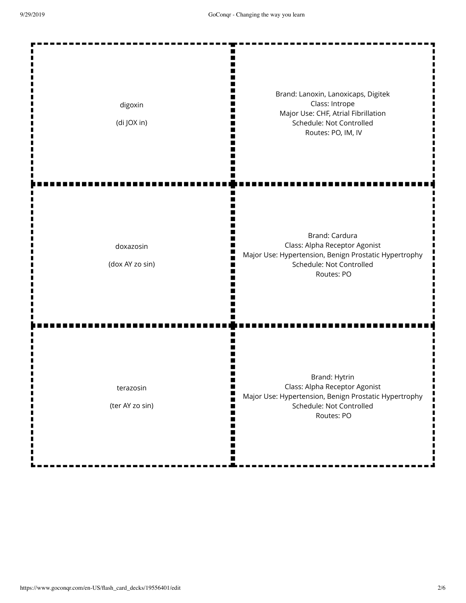| digoxin<br>(di JOX in)       | Brand: Lanoxin, Lanoxicaps, Digitek<br>Class: Intrope<br>Major Use: CHF, Atrial Fibrillation<br>Schedule: Not Controlled<br>Routes: PO, IM, IV     |
|------------------------------|----------------------------------------------------------------------------------------------------------------------------------------------------|
| doxazosin<br>(dox AY zo sin) | Brand: Cardura<br>Class: Alpha Receptor Agonist<br>Major Use: Hypertension, Benign Prostatic Hypertrophy<br>Schedule: Not Controlled<br>Routes: PO |
| terazosin<br>(ter AY zo sin) | Brand: Hytrin<br>Class: Alpha Receptor Agonist<br>Major Use: Hypertension, Benign Prostatic Hypertrophy<br>Schedule: Not Controlled<br>Routes: PO  |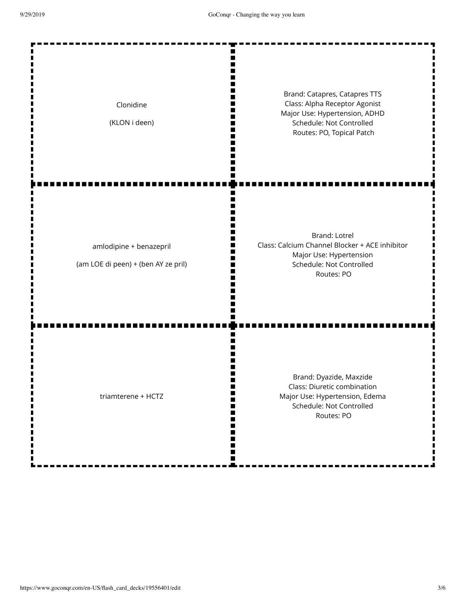| Clonidine<br>(KLON i deen)                                     | Brand: Catapres, Catapres TTS<br>Class: Alpha Receptor Agonist<br>Major Use: Hypertension, ADHD<br>Schedule: Not Controlled<br>Routes: PO, Topical Patch |
|----------------------------------------------------------------|----------------------------------------------------------------------------------------------------------------------------------------------------------|
| amlodipine + benazepril<br>(am LOE di peen) + (ben AY ze pril) | <b>Brand: Lotrel</b><br>Class: Calcium Channel Blocker + ACE inhibitor<br>Major Use: Hypertension<br>Schedule: Not Controlled<br>Routes: PO              |
| triamterene + HCTZ                                             | Brand: Dyazide, Maxzide<br>Class: Diuretic combination<br>Major Use: Hypertension, Edema<br>Schedule: Not Controlled<br>Routes: PO                       |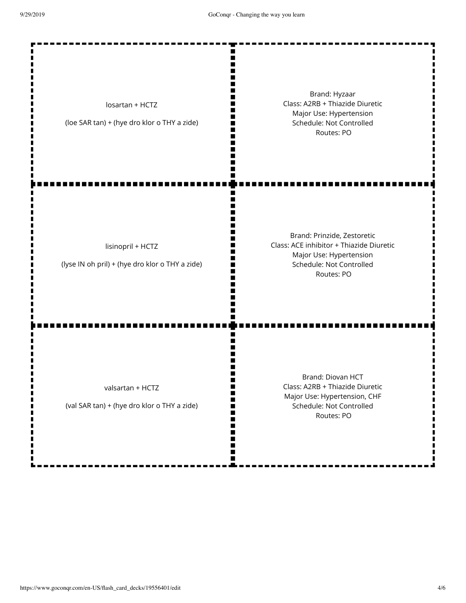Ш Ш m I٢

M

Ш

I٢

П

П m H Ш

ш I٢

losartan + HCTZ

(loe SAR tan) + (hye dro klor o THY a zide)

Brand: Hyzaar Class: A2RB + Thiazide Diuretic Major Use: Hypertension Schedule: Not Controlled Routes: PO

lisinopril + HCTZ

(lyse IN oh pril) + (hye dro klor o THY a zide)

Brand: Prinzide, Zestoretic Class: ACE inhibitor + Thiazide Diuretic Major Use: Hypertension Schedule: Not Controlled Routes: PO

valsartan + HCTZ

(val SAR tan) + (hye dro klor o THY a zide)

Brand: Diovan HCT Class: A2RB + Thiazide Diuretic Major Use: Hypertension, CHF Schedule: Not Controlled Routes: PO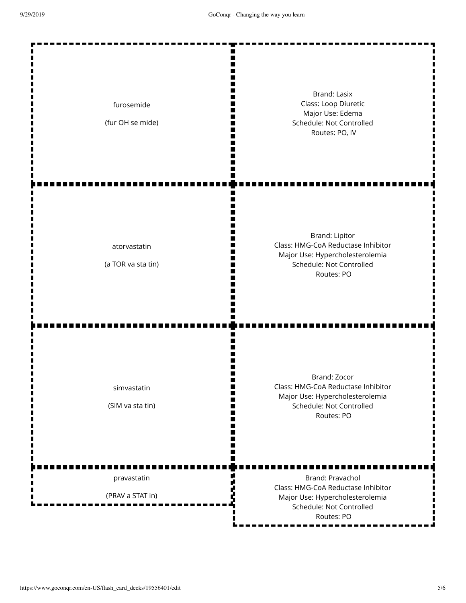